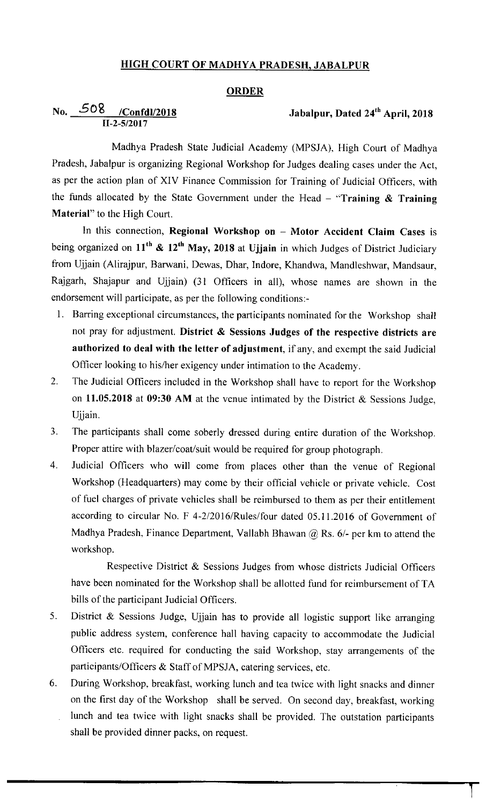#### HIGH COURT OF MADHYA PRADESH, JABALPUR

#### **ORDER**

# No. 508 /Confdl/2018

## Jabalpur, Dated 24<sup>th</sup> April, 2018

Madhya Pradesh State Judicial Academy (MPSJA), High Court of Madhya Pradesh, Jabalpur is organizing Regional Workshop for Judges dealing cases under the Act, as per the action plan of XIV Finance Commission for Training of Judicial Officers, with the funds allocated by the State Government under the Head  $-$  "Training & Training Material" to the High Court.

In this connection, Regional Workshop on - Motor Accident Claim Cases is being organized on  $11^{th}$  &  $12^{th}$  May, 2018 at Ujjain in which Judges of District Judiciary from Ujjain (Alirajpur, Barwani, Dewas, Dhar, Indore, Khandwa, Mandleshwar, Mandsaur, Rajgarh, Shajapur and Ujjain) (31 Officers in all), whose names are shown in the endorsement will participate, as per the following conditions:-

- I. Barring exceptional circumstances, the participants nominated for the Workshop shall not pray for adjustment. District & Sessions Judges of the respective districts are authorized to deal with the letter of adjustment, if any, and exempt the said Judicial Officer looking to his/her exigency under intimation to the Academy.
- 2. The Judicial Officers included in the Workshop shall have to report for the Workshop on 11.05.2018 at 09:30 AM at the venue intimated by the District & Sessions Judge, Ujjain.
- 3. The participants shall come soberly dressed during entire duration of the Workshop. Proper attire with blazer/coat/suit would be required for group photograph.
- 4. Judicial Officers who will come from places other than the venue of Regional Workshop (Headquarters) may come by their official vehicle or private vehicle. Cost of fuel charges of private vehicles shall be reimbursed to them as per their entitlement according to circular No. F 4-2/2016/Rules/four dated 05.11.2016 of Government of Madhya Pradesh, Finance Department, Vallabh Bhawan  $@$  Rs. 6/- per km to attend the workshop.

Respective District & Sessions Judges from whose districts Judicial Officers have been nominated for the Workshop shall be allotted fund for reimbursement of TA bills of the participant Judicial Officers.

- 5. District & Sessions Judge, Ujjain has to provide all logistic support like arranging public address system, conference hall having capacity to accommodate the Judicial Officers etc. required for conducting the said Workshop, stay arrangements of the participants/Officers & Staff of MPSJA, catering services, etc.
- 6. During workshop, breakfast, working lunch and tea twice with light snacks and dinner on the first day of the Workshop shall be served. On second day, breakfast, working lunch and tea twice with light snacks shall be provided. The outstation participants shall be provided dinner packs, on request.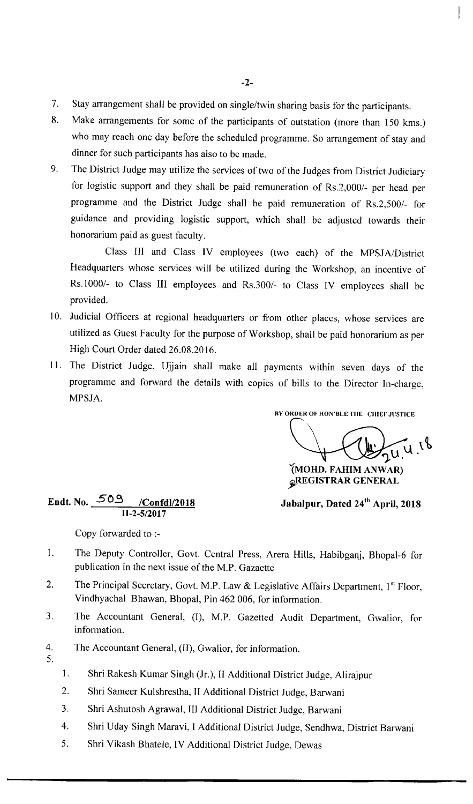- $7.$ Stay arrangement shall be provided on single/twin sharing basis for the participants.
- $\mathbf{8}$ . Make arrangements for some of the participants of outstation (more than 150 kms.) who may reach one day before the scheduled programme. So arrangement of stay and dinner for such participants has also to be made.
- 9. The District Judge may utilize the services of two of the Judges from District Judiciary for logistic support and they shall be paid remuneration of Rs.2,000/- per head per programme and the District Judge shall be paid remuneration of Rs.2,500/- for guidance and providing logistic support, which shall be adjusted towards their honorarium paid as guest faculty.

Class Ill and Class IV employees (two each) of the MPSJA/District Headquarters whose services will be utilized during the Workshop, an incentive of Rs.1000/- to Class Ill employees and Rs.300/- to Class IV employees shall be provided.

- 10. Judicial Officers at regional headquarters or from other places, whose services are utilized as Guest Faculty for the purpose of Workshop, shall be paid honorarium as per High Court Order dated 26.08.2016.
- 11. The District Judge, Ujjain shall make all payments within seven days of the programme and forward the details with copies of bills to the Director In-charge, MPSJA.

BY ORDER OF HON'BLE THE CHIEF JUSTICE

 $24.4.18$ {MOHD. FAHIM ANWAR)

gREGISTRAR GENERAL

Jabalpur, Dated 24<sup>th</sup> April, 2018

#### Endt. No.  $\frac{509}{\sqrt{201}}$  /Confdl/2018 11-2-5/2017

Copy forwarded to :-

- $\mathbf{I}$ . The Deputy Controller, Govt. Central Press, Arera Hills, Habibganj, Bhopal-6 for publication in the next issue of the M.P. Gazaette
- $2.$ The Principal Secretary, Govt. M.P. Law & Legislative Affairs Department,  $1<sup>st</sup> Floor$ , Vindhyachal Bhawan, Bhopal, Pin 462 006, for information.
- $3.$ The Accountant General, (I), M.P. Gazetted Audit Department, Gwalior, for information.
- $4.$ The Accountant General, (11), Gwalior, for information.
- 5.
- 1. Shri Rakesh Kumar singh (Jr.), II Additional District Judge, Alirajpur
- 2. Shri Sameer Kulshrestha, II Additional District Judge, Barwani
- 3. Shri Ashutosh Agrawal, Ill Additional District Judge, Barwani
- 4. Shri Uday Singh Maravi, I Additional District Judge, Sendhwa, District Barwani
- 5. Shri Vikash Bhatele, IV Additional District Judge, Dewas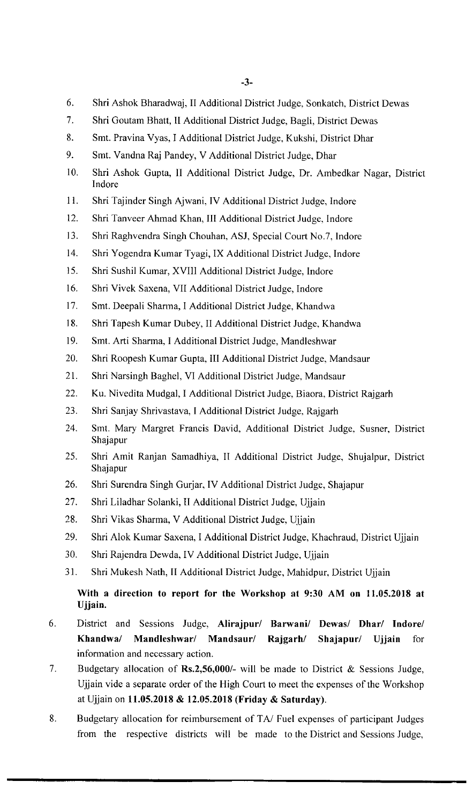- 6. Shri Ashok Bharadwaj, II Additional District Judge, Sonkatch, District Dewas
- 7. Shri Goutam Bhatt, II Additional District Judge, Bagli, District Dewas
- 8. Smt. Pravina Vyas, I Additional District Judge, Kukshi, District Dhar
- 9. Smt. Vandna Raj Pandey, V Additional District Judge, Dhar
- 10. Shri Ashok Gupta, 11 Additional District Judge, Dr. Ambedkar Nagar, District Indore
- 11. Shri Tajinder singh Ajwani, IV Additional District Judge, Indore
- 12. Shri Tanveer Ahmad Khan, III Additional District Judge, Indore
- 13. Shri Raghvendra singh chouhan, ASJ, Special court No.7, Indore
- 14. Shri Yogendra Kumar Tyagi, IX Additional District Judge, Indore
- 15. Shri sushil Kumar, XVIII Additional District Judge, Indore
- 16. Shri vivek saxena, VII Additional District Judge, Indore
- 17. Smt. Deepali sharma, I Additional District Judge, Khandwa
- 18. Shri Tapesh Kumar Dubey, II Additional District Judge, Khandwa
- 19. Smt. Arti Sharma, I Additional District Judge, Mandleshwar
- 20. Shri Roopesh Kumar Gupta, Ill Additional District Judge, Mandsaur
- 21. Shri Narsingh Baghel, VI Additional District Judge, Mandsaur
- 22. Ku. Nivedita Mudgal, I Additional District Judge, Biaora, District Rajgarh
- 23. Shri sanjay shrivastava, I Additional District Judge, Rajgarh
- 24. Smt. Mary Margret Francis David, Additional District Judge, Susner, District Shajapur
- 25. Shri Amit Ranjan Samadhiya, 11 Additional District Judge, Shujalpur, District Shajapur
- 26. Shri Surendra Singh Gurjar, IV Additional District Judge, Shajapur
- 27. Shri Liladhar solanki, II Additional District Judge, Ujjain
- 28. Shri vikas sharma, V Additional District Judge, Ujjain
- 29. Shri Alok Kumar Saxena, I Additional District Judge, Khachraud, District Ujjain
- 30. Shri Rajendra Dewda, IV Additional District Judge, Ujjain
- 31. Shri Mukesh Nath, II Additional District Judge, Mahidpur, District Ujjain

### With a direction to report for the Workshop at 9:30 AM on 11.05.2018 at Ujjain.

- 6. District and Sessions Judge, Alirajpur/ Barwani/ Dewas/ Dhar/ Indore/ Khandwa/ Mandleshwar/ Mandsaur/ Rajgarh/ Shajapur/ Ujjain for information and necessary action.
- $7<sub>1</sub>$ Budgetary allocation of Rs.2,56,000/- will be made to District & Sessions Judge, Ujjain vide a separate order of the High Court to meet the expenses of the Workshop at Ujjain on 11.05.2018 & 12.05.2018 (Friday & Saturday).
- 8. Budgetary allocation for reimbursement of TA/ Fuel expenses of participant Judges from the respective districts will be made to the District and Sessions Judge,